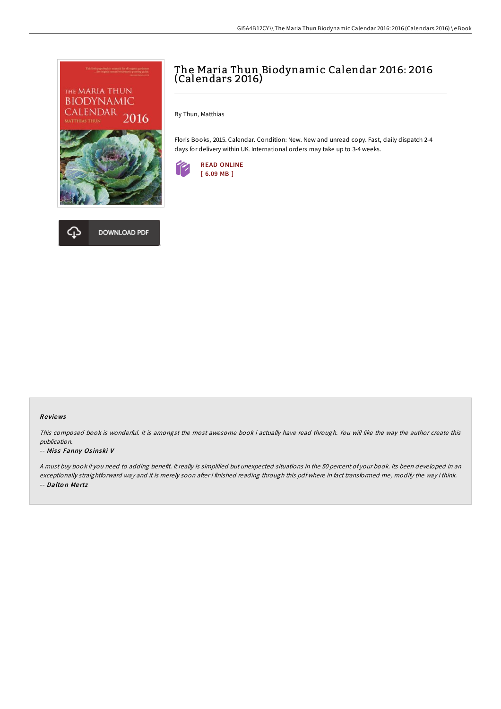



# The Maria Thun Biodynamic Calendar 2016: 2016 (Calendars 2016)

By Thun, Matthias

Floris Books, 2015. Calendar. Condition: New. New and unread copy. Fast, daily dispatch 2-4 days for delivery within UK. International orders may take up to 3-4 weeks.



#### Re views

This composed book is wonderful. It is amongst the most awesome book i actually have read through. You will like the way the author create this publication.

#### -- Miss Fanny Osinski V

<sup>A</sup> must buy book if you need to adding benefit. It really is simplified but unexpected situations in the 50 percent of your book. Its been developed in an exceptionally straightforward way and it is merely soon after i finished reading through this pdf where in fact transformed me, modify the way i think. -- Dalton Mertz